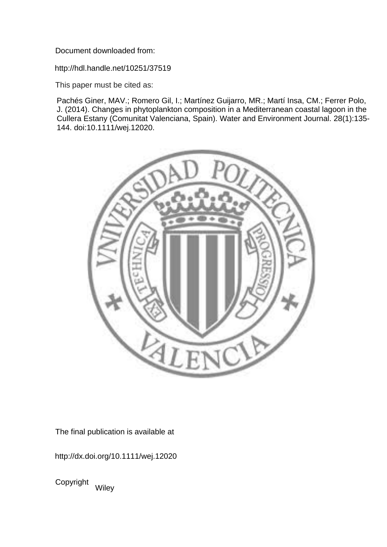Document downloaded from:

http://hdl.handle.net/10251/37519

This paper must be cited as:

Pachés Giner, MAV.; Romero Gil, I.; Martínez Guijarro, MR.; Martí Insa, CM.; Ferrer Polo, J. (2014). Changes in phytoplankton composition in a Mediterranean coastal lagoon in the Cullera Estany (Comunitat Valenciana, Spain). Water and Environment Journal. 28(1):135- 144. doi:10.1111/wej.12020.



The final publication is available at

http://dx.doi.org/10.1111/wej.12020

Copyright Wiley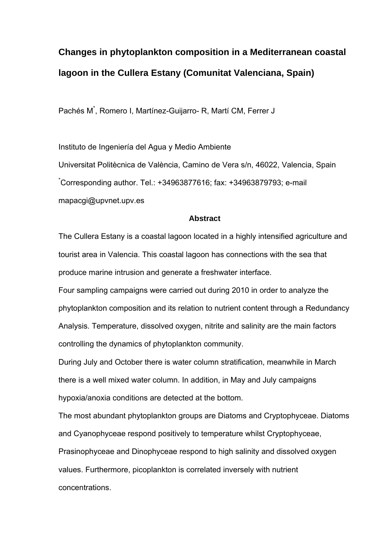# **Changes in phytoplankton composition in a Mediterranean coastal lagoon in the Cullera Estany (Comunitat Valenciana, Spain)**

Pachés M<sup>\*</sup>, Romero I, Martínez-Guijarro- R, Martí CM, Ferrer J

Instituto de Ingeniería del Agua y Medio Ambiente

Universitat Politècnica de València, Camino de Vera s/n, 46022, Valencia, Spain \* Corresponding author. Tel.: +34963877616; fax: +34963879793; e-mail mapacgi@upvnet.upv.es

## **Abstract**

The Cullera Estany is a coastal lagoon located in a highly intensified agriculture and tourist area in Valencia. This coastal lagoon has connections with the sea that produce marine intrusion and generate a freshwater interface.

Four sampling campaigns were carried out during 2010 in order to analyze the phytoplankton composition and its relation to nutrient content through a Redundancy Analysis. Temperature, dissolved oxygen, nitrite and salinity are the main factors controlling the dynamics of phytoplankton community.

During July and October there is water column stratification, meanwhile in March there is a well mixed water column. In addition, in May and July campaigns hypoxia/anoxia conditions are detected at the bottom.

The most abundant phytoplankton groups are Diatoms and Cryptophyceae. Diatoms and Cyanophyceae respond positively to temperature whilst Cryptophyceae, Prasinophyceae and Dinophyceae respond to high salinity and dissolved oxygen values. Furthermore, picoplankton is correlated inversely with nutrient concentrations.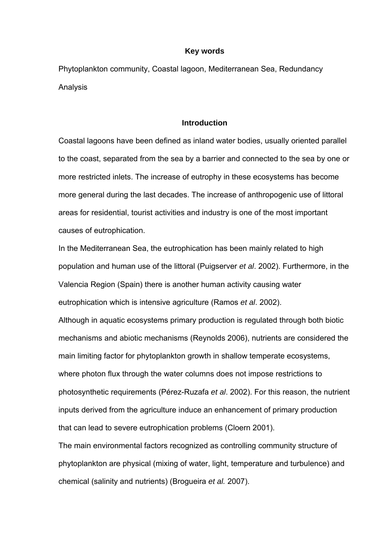#### **Key words**

Phytoplankton community, Coastal lagoon, Mediterranean Sea, Redundancy Analysis

## **Introduction**

Coastal lagoons have been defined as inland water bodies, usually oriented parallel to the coast, separated from the sea by a barrier and connected to the sea by one or more restricted inlets. The increase of eutrophy in these ecosystems has become more general during the last decades. The increase of anthropogenic use of littoral areas for residential, tourist activities and industry is one of the most important causes of eutrophication.

In the Mediterranean Sea, the eutrophication has been mainly related to high population and human use of the littoral (Puigserver *et al*. 2002). Furthermore, in the Valencia Region (Spain) there is another human activity causing water eutrophication which is intensive agriculture (Ramos *et al*. 2002).

Although in aquatic ecosystems primary production is regulated through both biotic mechanisms and abiotic mechanisms (Reynolds 2006), nutrients are considered the main limiting factor for phytoplankton growth in shallow temperate ecosystems, where photon flux through the water columns does not impose restrictions to photosynthetic requirements (Pérez-Ruzafa *et al*. 2002). For this reason, the nutrient inputs derived from the agriculture induce an enhancement of primary production that can lead to severe eutrophication problems (Cloern 2001).

The main environmental factors recognized as controlling community structure of phytoplankton are physical (mixing of water, light, temperature and turbulence) and chemical (salinity and nutrients) (Brogueira *et al.* 2007).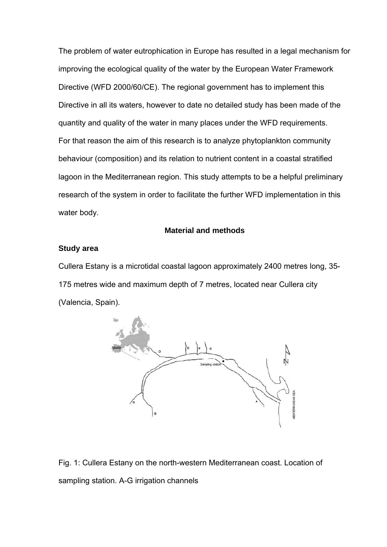The problem of water eutrophication in Europe has resulted in a legal mechanism for improving the ecological quality of the water by the European Water Framework Directive (WFD 2000/60/CE). The regional government has to implement this Directive in all its waters, however to date no detailed study has been made of the quantity and quality of the water in many places under the WFD requirements. For that reason the aim of this research is to analyze phytoplankton community behaviour (composition) and its relation to nutrient content in a coastal stratified lagoon in the Mediterranean region. This study attempts to be a helpful preliminary research of the system in order to facilitate the further WFD implementation in this water body.

## **Material and methods**

## **Study area**

Cullera Estany is a microtidal coastal lagoon approximately 2400 metres long, 35- 175 metres wide and maximum depth of 7 metres, located near Cullera city (Valencia, Spain).



Fig. 1: Cullera Estany on the north-western Mediterranean coast. Location of sampling station. A-G irrigation channels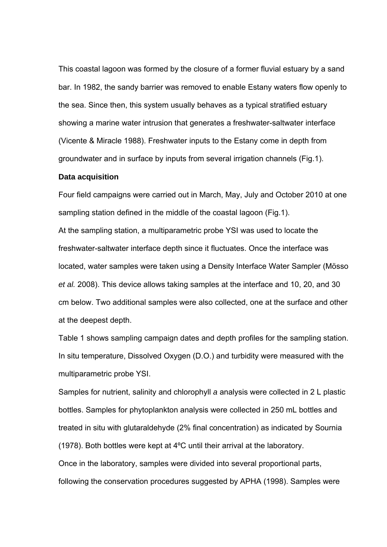This coastal lagoon was formed by the closure of a former fluvial estuary by a sand bar. In 1982, the sandy barrier was removed to enable Estany waters flow openly to the sea. Since then, this system usually behaves as a typical stratified estuary showing a marine water intrusion that generates a freshwater-saltwater interface (Vicente & Miracle 1988). Freshwater inputs to the Estany come in depth from groundwater and in surface by inputs from several irrigation channels (Fig.1).

#### **Data acquisition**

Four field campaigns were carried out in March, May, July and October 2010 at one sampling station defined in the middle of the coastal lagoon (Fig.1). At the sampling station, a multiparametric probe YSI was used to locate the freshwater-saltwater interface depth since it fluctuates. Once the interface was located, water samples were taken using a Density Interface Water Sampler (Mösso *et al.* 2008). This device allows taking samples at the interface and 10, 20, and 30 cm below. Two additional samples were also collected, one at the surface and other at the deepest depth.

Table 1 shows sampling campaign dates and depth profiles for the sampling station. In situ temperature, Dissolved Oxygen (D.O.) and turbidity were measured with the multiparametric probe YSI.

Samples for nutrient, salinity and chlorophyll *a* analysis were collected in 2 L plastic bottles. Samples for phytoplankton analysis were collected in 250 mL bottles and treated in situ with glutaraldehyde (2% final concentration) as indicated by Sournia (1978). Both bottles were kept at 4ºC until their arrival at the laboratory. Once in the laboratory, samples were divided into several proportional parts, following the conservation procedures suggested by APHA (1998). Samples were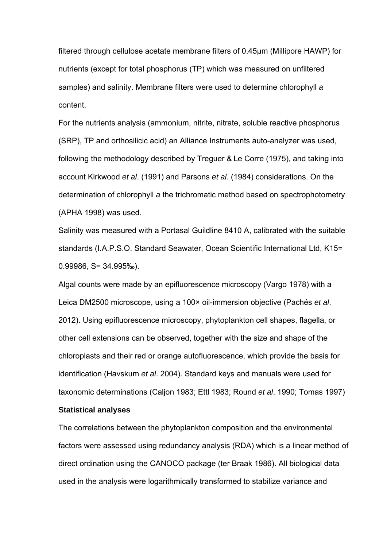filtered through cellulose acetate membrane filters of 0.45µm (Millipore HAWP) for nutrients (except for total phosphorus (TP) which was measured on unfiltered samples) and salinity. Membrane filters were used to determine chlorophyll *a* content.

For the nutrients analysis (ammonium, nitrite, nitrate, soluble reactive phosphorus (SRP), TP and orthosilicic acid) an Alliance Instruments auto-analyzer was used, following the methodology described by Treguer & Le Corre (1975), and taking into account Kirkwood *et al*. (1991) and Parsons *et al*. (1984) considerations. On the determination of chlorophyll *a* the trichromatic method based on spectrophotometry (APHA 1998) was used.

Salinity was measured with a Portasal Guildline 8410 A, calibrated with the suitable standards (I.A.P.S.O. Standard Seawater, Ocean Scientific International Ltd, K15= 0.99986, S= 34.995‰).

Algal counts were made by an epifluorescence microscopy (Vargo 1978) with a Leica DM2500 microscope, using a 100× oil-immersion objective (Pachés *et al*. 2012). Using epifluorescence microscopy, phytoplankton cell shapes, flagella, or other cell extensions can be observed, together with the size and shape of the chloroplasts and their red or orange autofluorescence, which provide the basis for identification (Havskum *et al*. 2004). Standard keys and manuals were used for taxonomic determinations (Caljon 1983; Ettl 1983; Round *et al*. 1990; Tomas 1997)

# **Statistical analyses**

The correlations between the phytoplankton composition and the environmental factors were assessed using redundancy analysis (RDA) which is a linear method of direct ordination using the CANOCO package (ter Braak 1986). All biological data used in the analysis were logarithmically transformed to stabilize variance and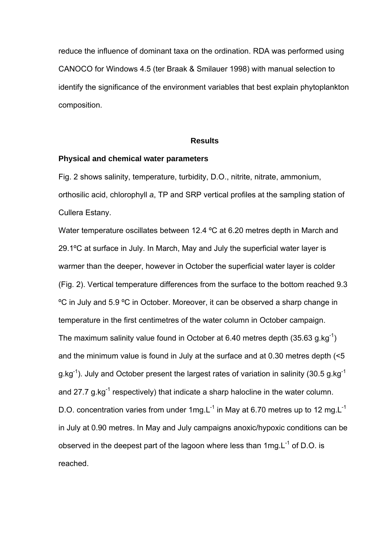reduce the influence of dominant taxa on the ordination. RDA was performed using CANOCO for Windows 4.5 (ter Braak & Smilauer 1998) with manual selection to identify the significance of the environment variables that best explain phytoplankton composition.

## **Results**

#### **Physical and chemical water parameters**

Fig. 2 shows salinity, temperature, turbidity, D.O., nitrite, nitrate, ammonium, orthosilic acid, chlorophyll *a*, TP and SRP vertical profiles at the sampling station of Cullera Estany.

Water temperature oscillates between 12.4 ºC at 6.20 metres depth in March and 29.1ºC at surface in July. In March, May and July the superficial water layer is warmer than the deeper, however in October the superficial water layer is colder (Fig. 2). Vertical temperature differences from the surface to the bottom reached 9.3 ºC in July and 5.9 ºC in October. Moreover, it can be observed a sharp change in temperature in the first centimetres of the water column in October campaign. The maximum salinity value found in October at 6.40 metres depth  $(35.63 \text{ g} \cdot \text{kg}^{-1})$ and the minimum value is found in July at the surface and at 0.30 metres depth (<5 g.kg<sup>-1</sup>). July and October present the largest rates of variation in salinity (30.5 g.kg<sup>-1</sup>) and 27.7 g.kg<sup>-1</sup> respectively) that indicate a sharp halocline in the water column. D.O. concentration varies from under 1mg. $L^{-1}$  in May at 6.70 metres up to 12 mg. $L^{-1}$ in July at 0.90 metres. In May and July campaigns anoxic/hypoxic conditions can be observed in the deepest part of the lagoon where less than 1mg.L<sup>-1</sup> of D.O. is reached.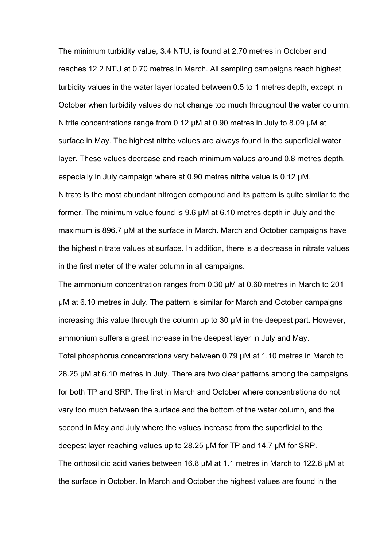The minimum turbidity value, 3.4 NTU, is found at 2.70 metres in October and reaches 12.2 NTU at 0.70 metres in March. All sampling campaigns reach highest turbidity values in the water layer located between 0.5 to 1 metres depth, except in October when turbidity values do not change too much throughout the water column. Nitrite concentrations range from 0.12 μM at 0.90 metres in July to 8.09 μM at surface in May. The highest nitrite values are always found in the superficial water layer. These values decrease and reach minimum values around 0.8 metres depth, especially in July campaign where at 0.90 metres nitrite value is 0.12 μM. Nitrate is the most abundant nitrogen compound and its pattern is quite similar to the former. The minimum value found is 9.6 μM at 6.10 metres depth in July and the maximum is 896.7 μM at the surface in March. March and October campaigns have the highest nitrate values at surface. In addition, there is a decrease in nitrate values in the first meter of the water column in all campaigns.

The ammonium concentration ranges from 0.30 μM at 0.60 metres in March to 201 μM at 6.10 metres in July. The pattern is similar for March and October campaigns increasing this value through the column up to 30 μM in the deepest part. However, ammonium suffers a great increase in the deepest layer in July and May. Total phosphorus concentrations vary between 0.79 μM at 1.10 metres in March to 28.25 μM at 6.10 metres in July. There are two clear patterns among the campaigns for both TP and SRP. The first in March and October where concentrations do not vary too much between the surface and the bottom of the water column, and the second in May and July where the values increase from the superficial to the deepest layer reaching values up to 28.25 μM for TP and 14.7 μM for SRP. The orthosilicic acid varies between 16.8 μM at 1.1 metres in March to 122.8 μM at the surface in October. In March and October the highest values are found in the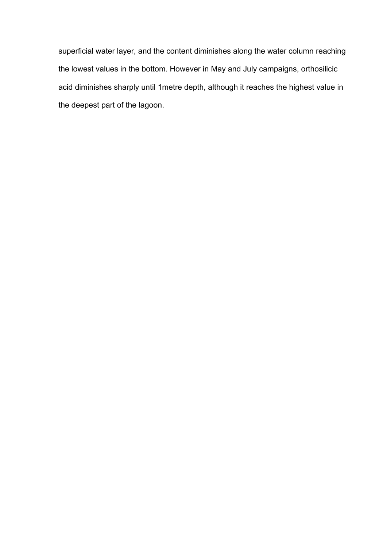superficial water layer, and the content diminishes along the water column reaching the lowest values in the bottom. However in May and July campaigns, orthosilicic acid diminishes sharply until 1metre depth, although it reaches the highest value in the deepest part of the lagoon.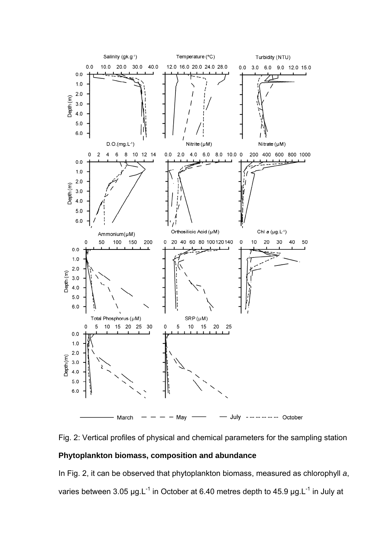



# **Phytoplankton biomass, composition and abundance**

In Fig. 2, it can be observed that phytoplankton biomass, measured as chlorophyll *a*, varies between 3.05 μg.L<sup>-1</sup> in October at 6.40 metres depth to 45.9 μg.L<sup>-1</sup> in July at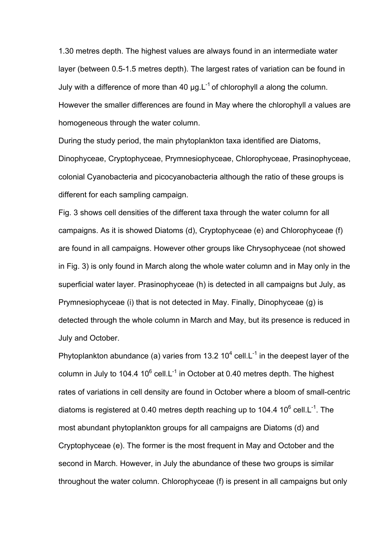1.30 metres depth. The highest values are always found in an intermediate water layer (between 0.5-1.5 metres depth). The largest rates of variation can be found in July with a difference of more than 40 μg.L-1 of chlorophyll *a* along the column. However the smaller differences are found in May where the chlorophyll *a* values are homogeneous through the water column.

During the study period, the main phytoplankton taxa identified are Diatoms, Dinophyceae, Cryptophyceae, Prymnesiophyceae, Chlorophyceae, Prasinophyceae, colonial Cyanobacteria and picocyanobacteria although the ratio of these groups is different for each sampling campaign.

Fig. 3 shows cell densities of the different taxa through the water column for all campaigns. As it is showed Diatoms (d), Cryptophyceae (e) and Chlorophyceae (f) are found in all campaigns. However other groups like Chrysophyceae (not showed in Fig. 3) is only found in March along the whole water column and in May only in the superficial water layer. Prasinophyceae (h) is detected in all campaigns but July, as Prymnesiophyceae (i) that is not detected in May. Finally, Dinophyceae (g) is detected through the whole column in March and May, but its presence is reduced in July and October.

Phytoplankton abundance (a) varies from 13.2 10<sup>4</sup> cell.L<sup>-1</sup> in the deepest layer of the column in July to 104.4 10 $^6$  cell.L<sup>-1</sup> in October at 0.40 metres depth. The highest rates of variations in cell density are found in October where a bloom of small-centric diatoms is registered at 0.40 metres depth reaching up to 104.4 10 $^6$  cell.L<sup>-1</sup>. The most abundant phytoplankton groups for all campaigns are Diatoms (d) and Cryptophyceae (e). The former is the most frequent in May and October and the second in March. However, in July the abundance of these two groups is similar throughout the water column. Chlorophyceae (f) is present in all campaigns but only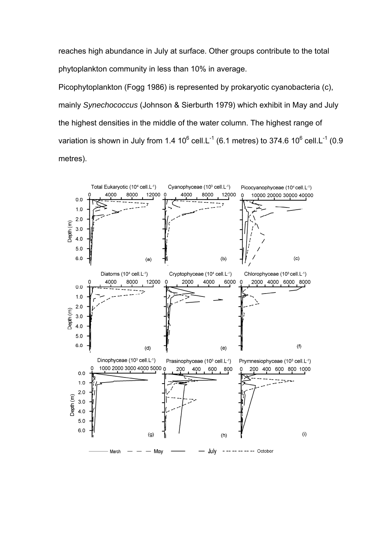reaches high abundance in July at surface. Other groups contribute to the total phytoplankton community in less than 10% in average.

Picophytoplankton (Fogg 1986) is represented by prokaryotic cyanobacteria (c), mainly *Synechococcus* (Johnson & Sierburth 1979) which exhibit in May and July the highest densities in the middle of the water column. The highest range of variation is shown in July from 1.4 10<sup>6</sup> cell.L<sup>-1</sup> (6.1 metres) to 374.6 10<sup>6</sup> cell.L<sup>-1</sup> (0.9 metres).

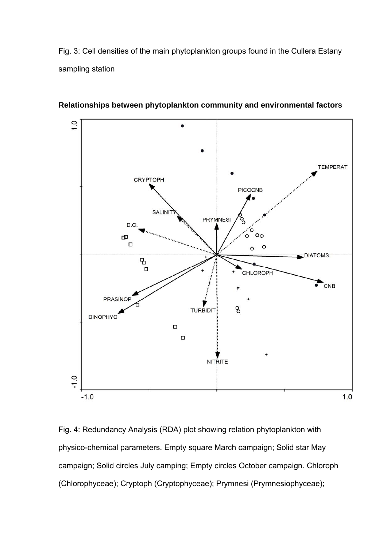Fig. 3: Cell densities of the main phytoplankton groups found in the Cullera Estany sampling station



**Relationships between phytoplankton community and environmental factors** 

Fig. 4: Redundancy Analysis (RDA) plot showing relation phytoplankton with physico-chemical parameters. Empty square March campaign; Solid star May campaign; Solid circles July camping; Empty circles October campaign. Chloroph (Chlorophyceae); Cryptoph (Cryptophyceae); Prymnesi (Prymnesiophyceae);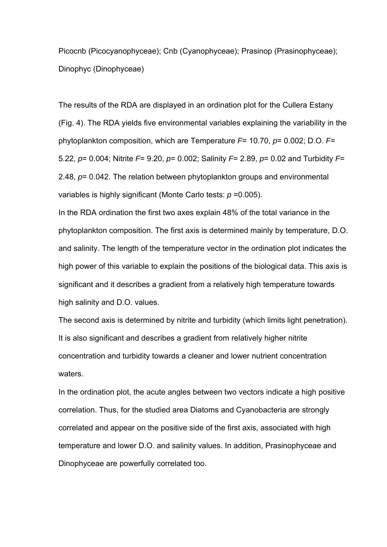Picocnb (Picocyanophyceae); Cnb (Cyanophyceae); Prasinop (Prasinophyceae); Dinophyc (Dinophyceae)

The results of the RDA are displayed in an ordination plot for the Cullera Estany (Fig. 4). The RDA yields five environmental variables explaining the variability in the phytoplankton composition, which are Temperature *F*= 10.70, *p*= 0.002; D.O. *F*= 5.22, *p*= 0.004; Nitrite *F*= 9.20, *p*= 0.002; Salinity *F*= 2.89, *p*= 0.02 and Turbidity *F*= 2.48, *p*= 0.042. The relation between phytoplankton groups and environmental variables is highly significant (Monte Carlo tests: *p* =0.005).

In the RDA ordination the first two axes explain 48% of the total variance in the phytoplankton composition. The first axis is determined mainly by temperature, D.O. and salinity. The length of the temperature vector in the ordination plot indicates the high power of this variable to explain the positions of the biological data. This axis is significant and it describes a gradient from a relatively high temperature towards high salinity and D.O. values.

The second axis is determined by nitrite and turbidity (which limits light penetration). It is also significant and describes a gradient from relatively higher nitrite concentration and turbidity towards a cleaner and lower nutrient concentration waters.

In the ordination plot, the acute angles between two vectors indicate a high positive correlation. Thus, for the studied area Diatoms and Cyanobacteria are strongly correlated and appear on the positive side of the first axis, associated with high temperature and lower D.O. and salinity values. In addition, Prasinophyceae and Dinophyceae are powerfully correlated too.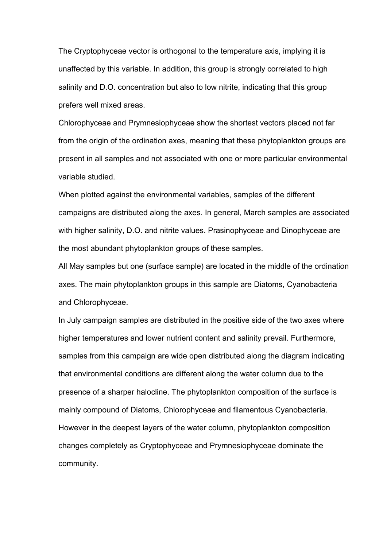The Cryptophyceae vector is orthogonal to the temperature axis, implying it is unaffected by this variable. In addition, this group is strongly correlated to high salinity and D.O. concentration but also to low nitrite, indicating that this group prefers well mixed areas.

Chlorophyceae and Prymnesiophyceae show the shortest vectors placed not far from the origin of the ordination axes, meaning that these phytoplankton groups are present in all samples and not associated with one or more particular environmental variable studied.

When plotted against the environmental variables, samples of the different campaigns are distributed along the axes. In general, March samples are associated with higher salinity, D.O. and nitrite values. Prasinophyceae and Dinophyceae are the most abundant phytoplankton groups of these samples.

All May samples but one (surface sample) are located in the middle of the ordination axes. The main phytoplankton groups in this sample are Diatoms, Cyanobacteria and Chlorophyceae.

In July campaign samples are distributed in the positive side of the two axes where higher temperatures and lower nutrient content and salinity prevail. Furthermore, samples from this campaign are wide open distributed along the diagram indicating that environmental conditions are different along the water column due to the presence of a sharper halocline. The phytoplankton composition of the surface is mainly compound of Diatoms, Chlorophyceae and filamentous Cyanobacteria. However in the deepest layers of the water column, phytoplankton composition changes completely as Cryptophyceae and Prymnesiophyceae dominate the community.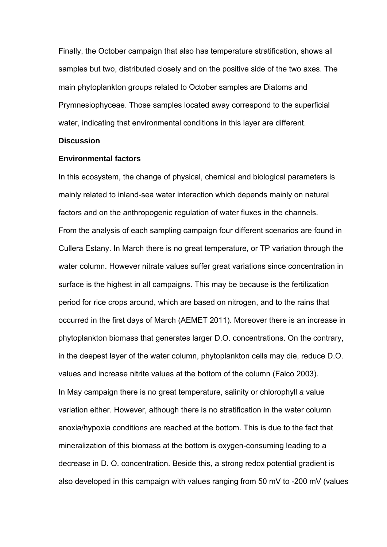Finally, the October campaign that also has temperature stratification, shows all samples but two, distributed closely and on the positive side of the two axes. The main phytoplankton groups related to October samples are Diatoms and Prymnesiophyceae. Those samples located away correspond to the superficial water, indicating that environmental conditions in this layer are different.

## **Discussion**

#### **Environmental factors**

In this ecosystem, the change of physical, chemical and biological parameters is mainly related to inland-sea water interaction which depends mainly on natural factors and on the anthropogenic regulation of water fluxes in the channels. From the analysis of each sampling campaign four different scenarios are found in Cullera Estany. In March there is no great temperature, or TP variation through the water column. However nitrate values suffer great variations since concentration in surface is the highest in all campaigns. This may be because is the fertilization period for rice crops around, which are based on nitrogen, and to the rains that occurred in the first days of March (AEMET 2011). Moreover there is an increase in phytoplankton biomass that generates larger D.O. concentrations. On the contrary, in the deepest layer of the water column, phytoplankton cells may die, reduce D.O. values and increase nitrite values at the bottom of the column (Falco 2003). In May campaign there is no great temperature, salinity or chlorophyll *a* value variation either. However, although there is no stratification in the water column anoxia/hypoxia conditions are reached at the bottom. This is due to the fact that mineralization of this biomass at the bottom is oxygen-consuming leading to a decrease in D. O. concentration. Beside this, a strong redox potential gradient is also developed in this campaign with values ranging from 50 mV to -200 mV (values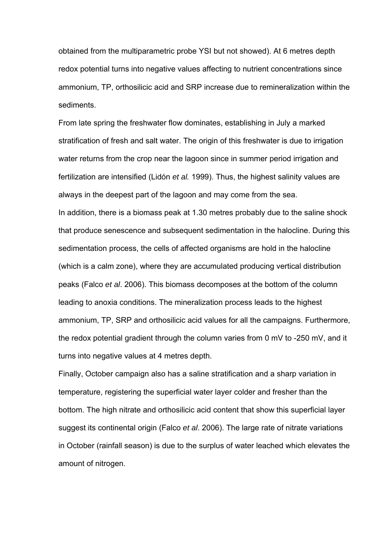obtained from the multiparametric probe YSI but not showed). At 6 metres depth redox potential turns into negative values affecting to nutrient concentrations since ammonium, TP, orthosilicic acid and SRP increase due to remineralization within the sediments.

From late spring the freshwater flow dominates, establishing in July a marked stratification of fresh and salt water. The origin of this freshwater is due to irrigation water returns from the crop near the lagoon since in summer period irrigation and fertilization are intensified (Lidón *et al.* 1999). Thus, the highest salinity values are always in the deepest part of the lagoon and may come from the sea. In addition, there is a biomass peak at 1.30 metres probably due to the saline shock that produce senescence and subsequent sedimentation in the halocline. During this sedimentation process, the cells of affected organisms are hold in the halocline (which is a calm zone), where they are accumulated producing vertical distribution peaks (Falco *et al*. 2006). This biomass decomposes at the bottom of the column leading to anoxia conditions. The mineralization process leads to the highest ammonium, TP, SRP and orthosilicic acid values for all the campaigns. Furthermore, the redox potential gradient through the column varies from 0 mV to -250 mV, and it turns into negative values at 4 metres depth.

Finally, October campaign also has a saline stratification and a sharp variation in temperature, registering the superficial water layer colder and fresher than the bottom. The high nitrate and orthosilicic acid content that show this superficial layer suggest its continental origin (Falco *et al*. 2006). The large rate of nitrate variations in October (rainfall season) is due to the surplus of water leached which elevates the amount of nitrogen.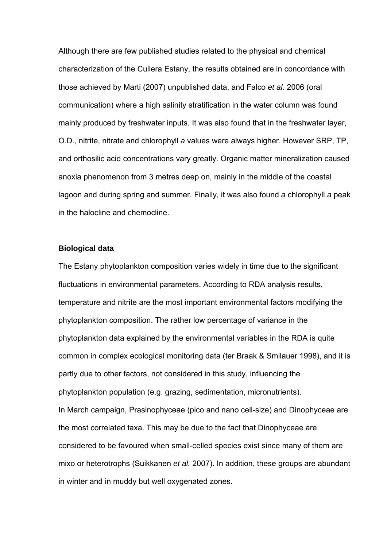Although there are few published studies related to the physical and chemical characterization of the Cullera Estany, the results obtained are in concordance with those achieved by Marti (2007) unpublished data, and Falco *et al.* 2006 (oral communication) where a high salinity stratification in the water column was found mainly produced by freshwater inputs. It was also found that in the freshwater layer, O.D., nitrite, nitrate and chlorophyll *a* values were always higher. However SRP, TP, and orthosilic acid concentrations vary greatly. Organic matter mineralization caused anoxia phenomenon from 3 metres deep on, mainly in the middle of the coastal lagoon and during spring and summer. Finally, it was also found *a* chlorophyll *a* peak in the halocline and chemocline.

# **Biological data**

The Estany phytoplankton composition varies widely in time due to the significant fluctuations in environmental parameters. According to RDA analysis results, temperature and nitrite are the most important environmental factors modifying the phytoplankton composition. The rather low percentage of variance in the phytoplankton data explained by the environmental variables in the RDA is quite common in complex ecological monitoring data (ter Braak & Smilauer 1998), and it is partly due to other factors, not considered in this study, influencing the phytoplankton population (e.g. grazing, sedimentation, micronutrients). In March campaign, Prasinophyceae (pico and nano cell-size) and Dinophyceae are the most correlated taxa. This may be due to the fact that Dinophyceae are considered to be favoured when small-celled species exist since many of them are mixo or heterotrophs (Suikkanen *et al.* 2007). In addition, these groups are abundant in winter and in muddy but well oxygenated zones.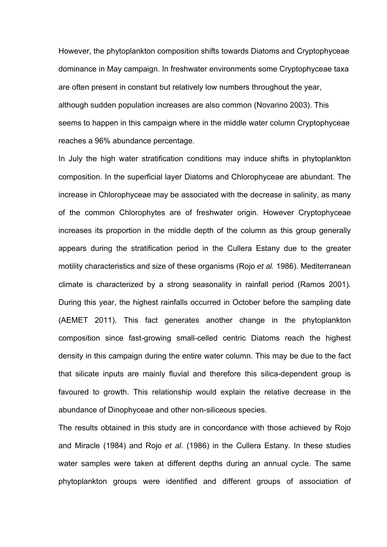However, the phytoplankton composition shifts towards Diatoms and Cryptophyceae dominance in May campaign. In freshwater environments some Cryptophyceae taxa are often present in constant but relatively low numbers throughout the year, although sudden population increases are also common (Novarino 2003). This seems to happen in this campaign where in the middle water column Cryptophyceae reaches a 96% abundance percentage.

In July the high water stratification conditions may induce shifts in phytoplankton composition. In the superficial layer Diatoms and Chlorophyceae are abundant. The increase in Chlorophyceae may be associated with the decrease in salinity, as many of the common Chlorophytes are of freshwater origin. However Cryptophyceae increases its proportion in the middle depth of the column as this group generally appears during the stratification period in the Cullera Estany due to the greater motility characteristics and size of these organisms (Rojo *et al.* 1986). Mediterranean climate is characterized by a strong seasonality in rainfall period (Ramos 2001). During this year, the highest rainfalls occurred in October before the sampling date (AEMET 2011). This fact generates another change in the phytoplankton composition since fast-growing small-celled centric Diatoms reach the highest density in this campaign during the entire water column. This may be due to the fact that silicate inputs are mainly fluvial and therefore this silica-dependent group is favoured to growth. This relationship would explain the relative decrease in the abundance of Dinophyceae and other non-siliceous species.

The results obtained in this study are in concordance with those achieved by Rojo and Miracle (1984) and Rojo *et al*. (1986) in the Cullera Estany. In these studies water samples were taken at different depths during an annual cycle. The same phytoplankton groups were identified and different groups of association of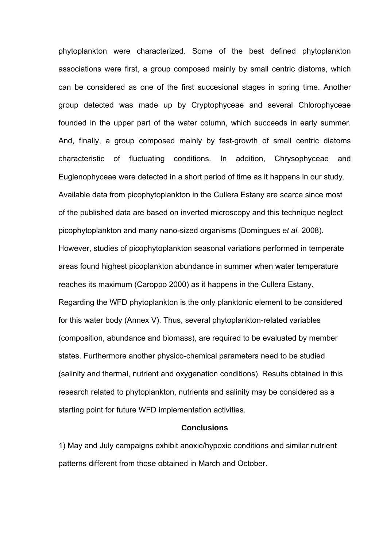phytoplankton were characterized. Some of the best defined phytoplankton associations were first, a group composed mainly by small centric diatoms, which can be considered as one of the first succesional stages in spring time. Another group detected was made up by Cryptophyceae and several Chlorophyceae founded in the upper part of the water column, which succeeds in early summer. And, finally, a group composed mainly by fast-growth of small centric diatoms characteristic of fluctuating conditions. In addition, Chrysophyceae and Euglenophyceae were detected in a short period of time as it happens in our study. Available data from picophytoplankton in the Cullera Estany are scarce since most of the published data are based on inverted microscopy and this technique neglect picophytoplankton and many nano-sized organisms (Domingues *et al.* 2008). However, studies of picophytoplankton seasonal variations performed in temperate areas found highest picoplankton abundance in summer when water temperature reaches its maximum (Caroppo 2000) as it happens in the Cullera Estany. Regarding the WFD phytoplankton is the only planktonic element to be considered for this water body (Annex V). Thus, several phytoplankton-related variables (composition, abundance and biomass), are required to be evaluated by member states. Furthermore another physico-chemical parameters need to be studied (salinity and thermal, nutrient and oxygenation conditions). Results obtained in this research related to phytoplankton, nutrients and salinity may be considered as a starting point for future WFD implementation activities.

# **Conclusions**

1) May and July campaigns exhibit anoxic/hypoxic conditions and similar nutrient patterns different from those obtained in March and October.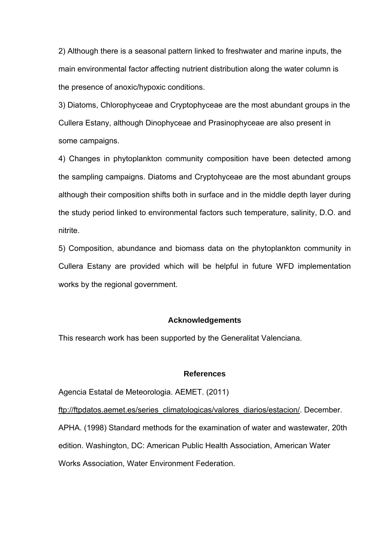2) Although there is a seasonal pattern linked to freshwater and marine inputs, the main environmental factor affecting nutrient distribution along the water column is the presence of anoxic/hypoxic conditions.

3) Diatoms, Chlorophyceae and Cryptophyceae are the most abundant groups in the Cullera Estany, although Dinophyceae and Prasinophyceae are also present in some campaigns.

4) Changes in phytoplankton community composition have been detected among the sampling campaigns. Diatoms and Cryptohyceae are the most abundant groups although their composition shifts both in surface and in the middle depth layer during the study period linked to environmental factors such temperature, salinity, D.O. and nitrite.

5) Composition, abundance and biomass data on the phytoplankton community in Cullera Estany are provided which will be helpful in future WFD implementation works by the regional government.

## **Acknowledgements**

This research work has been supported by the Generalitat Valenciana.

## **References**

Agencia Estatal de Meteorologia. AEMET. (2011)

ftp://ftpdatos.aemet.es/series\_climatologicas/valores\_diarios/estacion/. December. APHA. (1998) Standard methods for the examination of water and wastewater, 20th edition. Washington, DC: American Public Health Association, American Water Works Association, Water Environment Federation.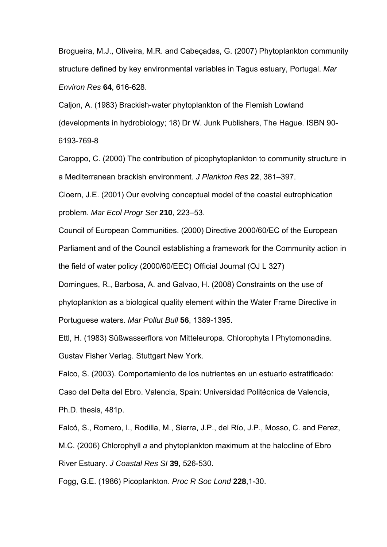Brogueira, M.J., Oliveira, M.R. and Cabeçadas, G. (2007) Phytoplankton community structure defined by key environmental variables in Tagus estuary, Portugal. *Mar Environ Res* **64**, 616-628.

Caljon, A. (1983) Brackish-water phytoplankton of the Flemish Lowland (developments in hydrobiology; 18) Dr W. Junk Publishers, The Hague. ISBN 90- 6193-769-8

Caroppo, C. (2000) The contribution of picophytoplankton to community structure in a Mediterranean brackish environment. *J Plankton Res* **22**, 381–397.

Cloern, J.E. (2001) Our evolving conceptual model of the coastal eutrophication problem. *Mar Ecol Progr Ser* **210**, 223–53.

Council of European Communities. (2000) Directive 2000/60/EC of the European Parliament and of the Council establishing a framework for the Community action in the field of water policy (2000/60/EEC) Official Journal (OJ L 327)

Domingues, R., Barbosa, A. and Galvao, H. (2008) Constraints on the use of phytoplankton as a biological quality element within the Water Frame Directive in Portuguese waters. *Mar Pollut Bull* **56**, 1389-1395.

Ettl, H. (1983) Süßwasserflora von Mitteleuropa. Chlorophyta I Phytomonadina. Gustav Fisher Verlag. Stuttgart New York.

Falco, S. (2003). Comportamiento de los nutrientes en un estuario estratificado:

Caso del Delta del Ebro. Valencia, Spain: Universidad Politécnica de Valencia,

Ph.D. thesis, 481p.

Falcó, S., Romero, I., Rodilla, M., Sierra, J.P., del Río, J.P., Mosso, C. and Perez, M.C. (2006) Chlorophyll *a* and phytoplankton maximum at the halocline of Ebro River Estuary. *J Coastal Res SI* **39**, 526-530.

Fogg, G.E. (1986) Picoplankton. *Proc R Soc Lond* **228**,1-30.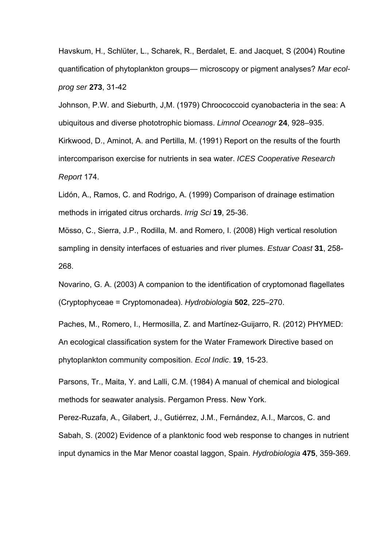Havskum, H., Schlüter, L., Scharek, R., Berdalet, E. and Jacquet, S (2004) Routine quantification of phytoplankton groups— microscopy or pigment analyses? *Mar ecolprog ser* **273**, 31-42

Johnson, P.W. and Sieburth, J,M. (1979) Chroococcoid cyanobacteria in the sea: A ubiquitous and diverse phototrophic biomass. *Limnol Oceanogr* **24**, 928–935. Kirkwood, D., Aminot, A. and Pertilla, M. (1991) Report on the results of the fourth intercomparison exercise for nutrients in sea water. *ICES Cooperative Research Report* 174.

Lidón, A., Ramos, C. and Rodrigo, A. (1999) Comparison of drainage estimation methods in irrigated citrus orchards. *Irrig Sci* **19**, 25-36.

Mösso, C., Sierra, J.P., Rodilla, M. and Romero, I. (2008) High vertical resolution sampling in density interfaces of estuaries and river plumes. *Estuar Coast* **31**, 258- 268.

Novarino, G. A. (2003) A companion to the identification of cryptomonad flagellates (Cryptophyceae = Cryptomonadea). *Hydrobiologia* **502**, 225–270.

Paches, M., Romero, I., Hermosilla, Z. and Martínez-Guijarro, R. (2012) PHYMED: An ecological classification system for the Water Framework Directive based on phytoplankton community composition. *Ecol Indic*. **19**, 15-23.

Parsons, Tr., Maita, Y. and Lalli, C.M. (1984) A manual of chemical and biological methods for seawater analysis. Pergamon Press. New York.

Perez-Ruzafa, A., Gilabert, J., Gutiérrez, J.M., Fernández, A.I., Marcos, C. and Sabah, S. (2002) Evidence of a planktonic food web response to changes in nutrient input dynamics in the Mar Menor coastal laggon, Spain. *Hydrobiologia* **475**, 359-369.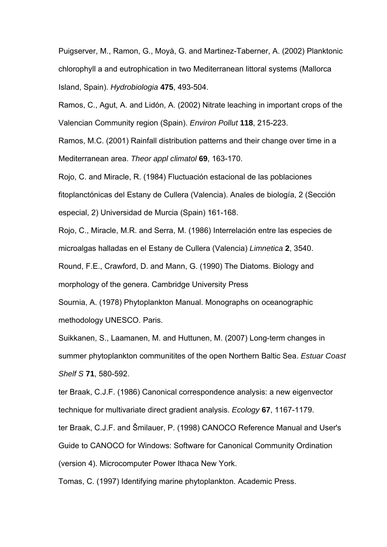Puigserver, M., Ramon, G., Moyà, G. and Martinez-Taberner, A. (2002) Planktonic chlorophyll a and eutrophication in two Mediterranean littoral systems (Mallorca Island, Spain). *Hydrobiologia* **475**, 493-504.

Ramos, C., Agut, A. and Lidón, A. (2002) Nitrate leaching in important crops of the Valencian Community region (Spain). *Environ Pollut* **118**, 215-223.

Ramos, M.C. (2001) Rainfall distribution patterns and their change over time in a Mediterranean area. *Theor appl climatol* **69**, 163-170.

Rojo, C. and Miracle, R. (1984) Fluctuación estacional de las poblaciones fitoplanctónicas del Estany de Cullera (Valencia). Anales de biología, 2 (Sección especial, 2) Universidad de Murcia (Spain) 161-168.

Rojo, C., Miracle, M.R. and Serra, M. (1986) Interrelación entre las especies de microalgas halladas en el Estany de Cullera (Valencia) *Limnetica* **2**, 3540. Round, F.E., Crawford, D. and Mann, G. (1990) The Diatoms. Biology and

morphology of the genera. Cambridge University Press

Sournia, A. (1978) Phytoplankton Manual. Monographs on oceanographic methodology UNESCO. Paris.

Suikkanen, S., Laamanen, M. and Huttunen, M. (2007) Long-term changes in summer phytoplankton communitites of the open Northern Baltic Sea. *Estuar Coast Shelf S* **71**, 580-592.

ter Braak, C.J.F. (1986) Canonical correspondence analysis: a new eigenvector technique for multivariate direct gradient analysis. *Ecology* **67**, 1167-1179.

ter Braak, C.J.F. and Šmilauer, P. (1998) CANOCO Reference Manual and User's Guide to CANOCO for Windows: Software for Canonical Community Ordination (version 4). Microcomputer Power Ithaca New York.

Tomas, C. (1997) Identifying marine phytoplankton. Academic Press.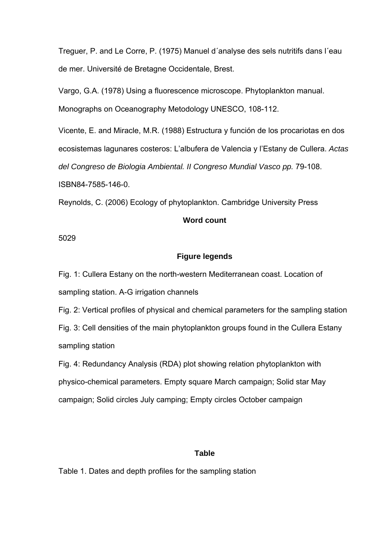Treguer, P. and Le Corre, P. (1975) Manuel d´analyse des sels nutritifs dans l´eau de mer. Université de Bretagne Occidentale, Brest.

Vargo, G.A. (1978) Using a fluorescence microscope. Phytoplankton manual. Monographs on Oceanography Metodology UNESCO, 108-112.

Vicente, E. and Miracle, M.R. (1988) Estructura y función de los procariotas en dos ecosistemas lagunares costeros: L'albufera de Valencia y l'Estany de Cullera. *Actas del Congreso de Biologia Ambiental. II Congreso Mundial Vasco pp.* 79-108. ISBN84-7585-146-0.

Reynolds, C. (2006) Ecology of phytoplankton. Cambridge University Press

# **Word count**

5029

# **Figure legends**

Fig. 1: Cullera Estany on the north-western Mediterranean coast. Location of sampling station. A-G irrigation channels

Fig. 2: Vertical profiles of physical and chemical parameters for the sampling station Fig. 3: Cell densities of the main phytoplankton groups found in the Cullera Estany sampling station

Fig. 4: Redundancy Analysis (RDA) plot showing relation phytoplankton with physico-chemical parameters. Empty square March campaign; Solid star May campaign; Solid circles July camping; Empty circles October campaign

# **Table**

Table 1. Dates and depth profiles for the sampling station